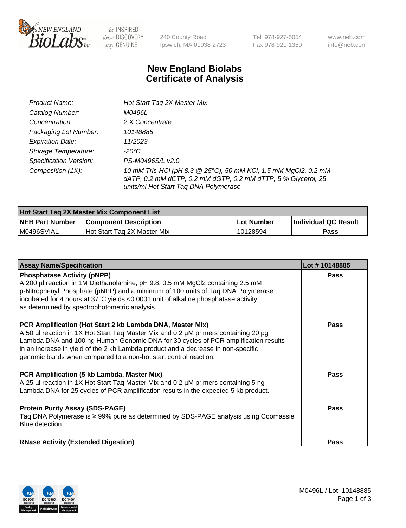

 $be$  INSPIRED drive DISCOVERY stay GENUINE

240 County Road Ipswich, MA 01938-2723 Tel 978-927-5054 Fax 978-921-1350 www.neb.com info@neb.com

## **New England Biolabs Certificate of Analysis**

| Product Name:           | Hot Start Tag 2X Master Mix                                                                                                                                               |
|-------------------------|---------------------------------------------------------------------------------------------------------------------------------------------------------------------------|
| Catalog Number:         | M0496L                                                                                                                                                                    |
| Concentration:          | 2 X Concentrate                                                                                                                                                           |
| Packaging Lot Number:   | 10148885                                                                                                                                                                  |
| <b>Expiration Date:</b> | 11/2023                                                                                                                                                                   |
| Storage Temperature:    | -20°C                                                                                                                                                                     |
| Specification Version:  | PS-M0496S/L v2.0                                                                                                                                                          |
| Composition (1X):       | 10 mM Tris-HCl (pH 8.3 @ 25°C), 50 mM KCl, 1.5 mM MgCl2, 0.2 mM<br>dATP, 0.2 mM dCTP, 0.2 mM dGTP, 0.2 mM dTTP, 5 % Glycerol, 25<br>units/ml Hot Start Taq DNA Polymerase |

| Hot Start Tag 2X Master Mix Component List |                              |            |                      |  |
|--------------------------------------------|------------------------------|------------|----------------------|--|
| <b>NEB Part Number</b>                     | <b>Component Description</b> | Lot Number | Individual QC Result |  |
| M0496SVIAL                                 | Hot Start Tag 2X Master Mix  | 10128594   | Pass                 |  |

| <b>Assay Name/Specification</b>                                                                                                                                                                                                                                                                                                                                                                 | Lot #10148885 |
|-------------------------------------------------------------------------------------------------------------------------------------------------------------------------------------------------------------------------------------------------------------------------------------------------------------------------------------------------------------------------------------------------|---------------|
| <b>Phosphatase Activity (pNPP)</b><br>A 200 µl reaction in 1M Diethanolamine, pH 9.8, 0.5 mM MgCl2 containing 2.5 mM<br>p-Nitrophenyl Phosphate (pNPP) and a minimum of 100 units of Taq DNA Polymerase<br>incubated for 4 hours at 37°C yields <0.0001 unit of alkaline phosphatase activity<br>as determined by spectrophotometric analysis.                                                  | <b>Pass</b>   |
| PCR Amplification (Hot Start 2 kb Lambda DNA, Master Mix)<br>A 50 µl reaction in 1X Hot Start Taq Master Mix and 0.2 µM primers containing 20 pg<br>Lambda DNA and 100 ng Human Genomic DNA for 30 cycles of PCR amplification results<br>in an increase in yield of the 2 kb Lambda product and a decrease in non-specific<br>genomic bands when compared to a non-hot start control reaction. | Pass          |
| PCR Amplification (5 kb Lambda, Master Mix)<br>A 25 µl reaction in 1X Hot Start Tag Master Mix and 0.2 µM primers containing 5 ng<br>Lambda DNA for 25 cycles of PCR amplification results in the expected 5 kb product.                                                                                                                                                                        | Pass          |
| <b>Protein Purity Assay (SDS-PAGE)</b><br>Taq DNA Polymerase is ≥ 99% pure as determined by SDS-PAGE analysis using Coomassie<br>Blue detection.                                                                                                                                                                                                                                                | Pass          |
| <b>RNase Activity (Extended Digestion)</b>                                                                                                                                                                                                                                                                                                                                                      | Pass          |

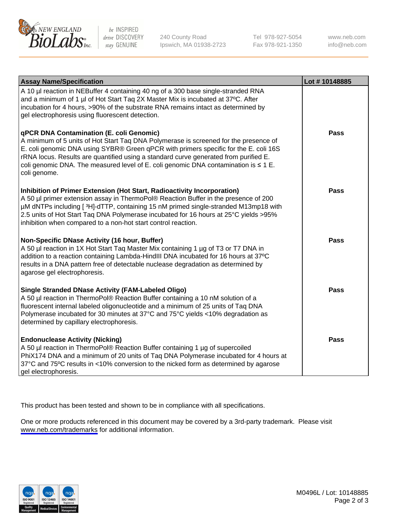

be INSPIRED drive DISCOVERY stay GENUINE

240 County Road Ipswich, MA 01938-2723 Tel 978-927-5054 Fax 978-921-1350

www.neb.com info@neb.com

| <b>Assay Name/Specification</b>                                                                                                                                                                                                                                                                                                                                                                                              | Lot #10148885 |
|------------------------------------------------------------------------------------------------------------------------------------------------------------------------------------------------------------------------------------------------------------------------------------------------------------------------------------------------------------------------------------------------------------------------------|---------------|
| A 10 µl reaction in NEBuffer 4 containing 40 ng of a 300 base single-stranded RNA<br>and a minimum of 1 µl of Hot Start Taq 2X Master Mix is incubated at 37°C. After<br>incubation for 4 hours, >90% of the substrate RNA remains intact as determined by<br>gel electrophoresis using fluorescent detection.                                                                                                               |               |
| qPCR DNA Contamination (E. coli Genomic)<br>A minimum of 5 units of Hot Start Taq DNA Polymerase is screened for the presence of<br>E. coli genomic DNA using SYBR® Green qPCR with primers specific for the E. coli 16S<br>rRNA locus. Results are quantified using a standard curve generated from purified E.<br>coli genomic DNA. The measured level of E. coli genomic DNA contamination is $\leq 1$ E.<br>coli genome. | Pass          |
| Inhibition of Primer Extension (Hot Start, Radioactivity Incorporation)<br>A 50 µl primer extension assay in ThermoPol® Reaction Buffer in the presence of 200<br>µM dNTPs including [3H]-dTTP, containing 15 nM primed single-stranded M13mp18 with<br>2.5 units of Hot Start Taq DNA Polymerase incubated for 16 hours at 25°C yields > 95%<br>inhibition when compared to a non-hot start control reaction.               | <b>Pass</b>   |
| Non-Specific DNase Activity (16 hour, Buffer)<br>A 50 µl reaction in 1X Hot Start Taq Master Mix containing 1 µg of T3 or T7 DNA in<br>addition to a reaction containing Lambda-HindIII DNA incubated for 16 hours at 37°C<br>results in a DNA pattern free of detectable nuclease degradation as determined by<br>agarose gel electrophoresis.                                                                              | <b>Pass</b>   |
| <b>Single Stranded DNase Activity (FAM-Labeled Oligo)</b><br>A 50 µl reaction in ThermoPol® Reaction Buffer containing a 10 nM solution of a<br>fluorescent internal labeled oligonucleotide and a minimum of 25 units of Taq DNA<br>Polymerase incubated for 30 minutes at 37°C and 75°C yields <10% degradation as<br>determined by capillary electrophoresis.                                                             | Pass          |
| <b>Endonuclease Activity (Nicking)</b><br>A 50 µl reaction in ThermoPol® Reaction Buffer containing 1 µg of supercoiled<br>PhiX174 DNA and a minimum of 20 units of Taq DNA Polymerase incubated for 4 hours at<br>37°C and 75°C results in <10% conversion to the nicked form as determined by agarose<br>gel electrophoresis.                                                                                              | Pass          |

This product has been tested and shown to be in compliance with all specifications.

One or more products referenced in this document may be covered by a 3rd-party trademark. Please visit <www.neb.com/trademarks>for additional information.